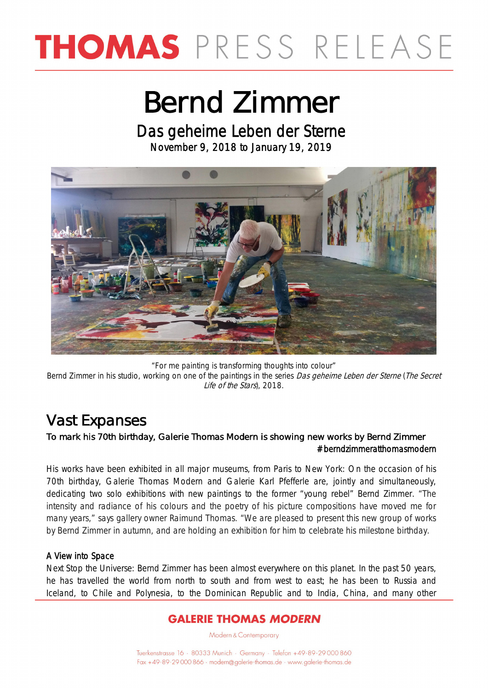## THOMAS PRESS RELEASE

### Bernd Zimmer

Das geheime Leben der Sterne November 9, 2018 to January 19, 2019



"For me painting is transforming thoughts into colour" Bernd Zimmer in his studio, working on one of the paintings in the series Das geheime Leben der Sterne (The Secret Life of the Stars), 2018.

### Vast Expanses

#### To mark his 70th birthday, Galerie Thomas Modern is showing new works by Bernd Zimmer #berndzimmeratthomasmodern

His works have been exhibited in all major museums, from Paris to New York: On the occasion of his 70th birthday, Galerie Thomas Modern and Galerie Karl Pfefferle are, jointly and simultaneously, dedicating two solo exhibitions with new paintings to the former "young rebel" Bernd Zimmer. "The intensity and radiance of his colours and the poetry of his picture compositions have moved me for many years," says gallery owner Raimund Thomas. "We are pleased to present this new group of works by Bernd Zimmer in autumn, and are holding an exhibition for him to celebrate his milestone birthday.

#### A View into Space

Next Stop the Universe: Bernd Zimmer has been almost everywhere on this planet. In the past 50 years, he has travelled the world from north to south and from west to east; he has been to Russia and Iceland, to Chile and Polynesia, to the Dominican Republic and to India, China, and many other

#### **GALERIE THOMAS MODERN**

Modern & Contemporary

Tuerkenstrasse 16 · 80333 Munich · Germany · Telefon +49-89-29 000 860 Fax +49-89-29 000 866 · modern@galerie-thomas.de · www.galerie-thomas.de